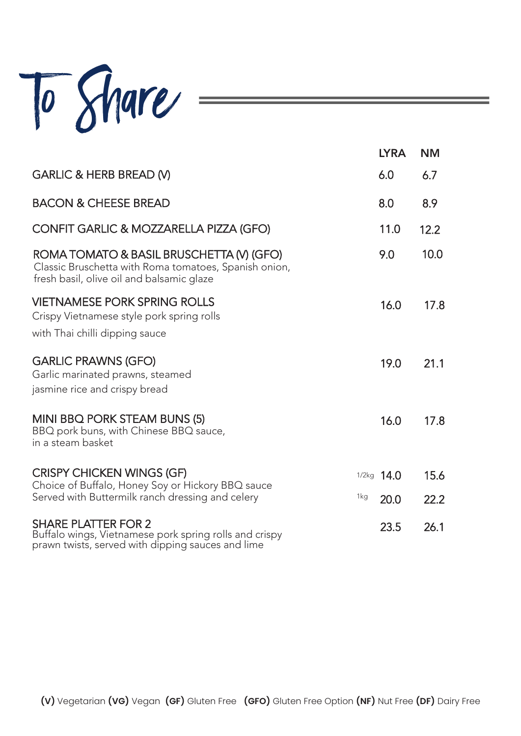

|                                                                                                                                                | <b>LYRA</b>  | <b>NM</b> |
|------------------------------------------------------------------------------------------------------------------------------------------------|--------------|-----------|
| <b>GARLIC &amp; HERB BREAD (V)</b>                                                                                                             | 6.0          | 6.7       |
| <b>BACON &amp; CHEESE BREAD</b>                                                                                                                | 8.0          | 8.9       |
| CONFIT GARLIC & MOZZARELLA PIZZA (GFO)                                                                                                         | 11.0         | 12.2      |
| ROMA TOMATO & BASIL BRUSCHETTA (V) (GFO)<br>Classic Bruschetta with Roma tomatoes, Spanish onion,<br>fresh basil, olive oil and balsamic glaze | 9.0          | 10.0      |
| <b>VIETNAMESE PORK SPRING ROLLS</b><br>Crispy Vietnamese style pork spring rolls<br>with Thai chilli dipping sauce                             | 16.0         | 17.8      |
| <b>GARLIC PRAWNS (GFO)</b><br>Garlic marinated prawns, steamed<br>jasmine rice and crispy bread                                                | 19.0         | 21.1      |
| MINI BBQ PORK STEAM BUNS (5)<br>BBQ pork buns, with Chinese BBQ sauce,<br>in a steam basket                                                    | 16.0         | 17.8      |
| <b>CRISPY CHICKEN WINGS (GF)</b><br>Choice of Buffalo, Honey Soy or Hickory BBQ sauce                                                          | $1/2kg$ 14.0 | 15.6      |
| Served with Buttermilk ranch dressing and celery<br>1kg                                                                                        | 20.0         | 22.2      |
| <b>SHARE PLATTER FOR 2</b><br>Buffalo wings, Vietnamese pork spring rolls and crispy<br>prawn twists, served with dipping sauces and lime      | 23.5         | 26.1      |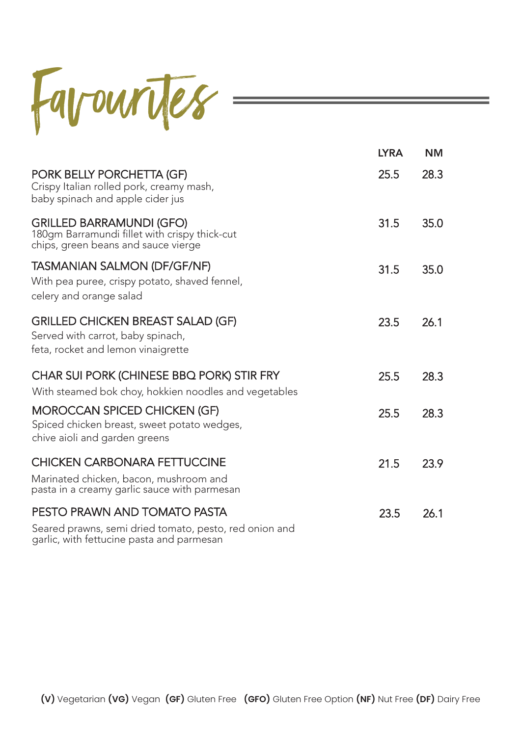

|                                                                                                                                     | <b>LYRA</b> | <b>NM</b> |
|-------------------------------------------------------------------------------------------------------------------------------------|-------------|-----------|
| PORK BELLY PORCHETTA (GF)<br>Crispy Italian rolled pork, creamy mash,<br>baby spinach and apple cider jus                           | 25.5        | 28.3      |
| <b>GRILLED BARRAMUNDI (GFO)</b><br>180gm Barramundi fillet with crispy thick-cut<br>chips, green beans and sauce vierge             | 31.5        | 35.0      |
| <b>TASMANIAN SALMON (DF/GF/NF)</b><br>With pea puree, crispy potato, shaved fennel,<br>celery and orange salad                      | 31.5        | 35.0      |
| <b>GRILLED CHICKEN BREAST SALAD (GF)</b><br>Served with carrot, baby spinach,<br>feta, rocket and lemon vinaigrette                 | 23.5        | 26.1      |
| CHAR SUI PORK (CHINESE BBQ PORK) STIR FRY<br>With steamed bok choy, hokkien noodles and vegetables                                  | 25.5        | 28.3      |
| <b>MOROCCAN SPICED CHICKEN (GF)</b><br>Spiced chicken breast, sweet potato wedges,<br>chive aioli and garden greens                 | 25.5        | 28.3      |
| <b>CHICKEN CARBONARA FETTUCCINE</b><br>Marinated chicken, bacon, mushroom and<br>pasta in a creamy garlic sauce with parmesan       | 21.5        | 23.9      |
| PESTO PRAWN AND TOMATO PASTA<br>Seared prawns, semi dried tomato, pesto, red onion and<br>garlic, with fettucine pasta and parmesan | 23.5        | 26.1      |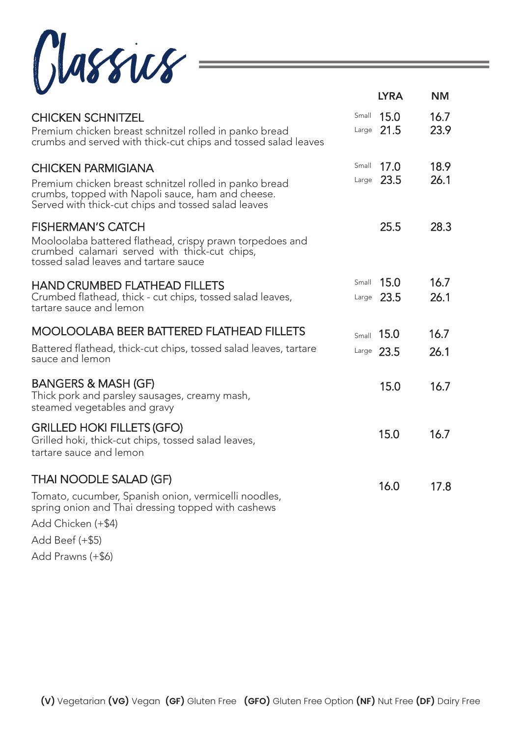$Classius$ 

|                                                                                                                                                                                                 |                | LINA                         | <b>INIVI</b> |
|-------------------------------------------------------------------------------------------------------------------------------------------------------------------------------------------------|----------------|------------------------------|--------------|
| <b>CHICKEN SCHNITZEL</b><br>Premium chicken breast schnitzel rolled in panko bread<br>crumbs and served with thick-cut chips and tossed salad leaves                                            | Small          | 15.0<br>Large $21.5$         | 16.7<br>23.9 |
| <b>CHICKEN PARMIGIANA</b><br>Premium chicken breast schnitzel rolled in panko bread<br>crumbs, topped with Napoli sauce, ham and cheese.<br>Served with thick-cut chips and tossed salad leaves | Small<br>Large | 17.0<br>23.5                 | 18.9<br>26.1 |
| <b>FISHERMAN'S CATCH</b><br>Mooloolaba battered flathead, crispy prawn torpedoes and<br>crumbed calamari served with thick-cut chips,<br>tossed salad leaves and tartare sauce                  |                | 25.5                         | 28.3         |
| <b>HAND CRUMBED FLATHEAD FILLETS</b><br>Crumbed flathead, thick - cut chips, tossed salad leaves,<br>tartare sauce and lemon                                                                    |                | Small $15.0$<br>Large $23.5$ | 16.7<br>26.1 |
| <b>MOOLOOLABA BEER BATTERED FLATHEAD FILLETS</b><br>Battered flathead, thick-cut chips, tossed salad leaves, tartare<br>sauce and lemon                                                         |                | Small $15.0$<br>Large $23.5$ | 16.7<br>26.1 |
| <b>BANGERS &amp; MASH (GF)</b><br>Thick pork and parsley sausages, creamy mash,<br>steamed vegetables and gravy                                                                                 |                | 15.0                         | 16.7         |
| <b>GRILLED HOKI FILLETS (GFO)</b><br>Grilled hoki, thick-cut chips, tossed salad leaves,<br>tartare sauce and lemon                                                                             |                | 15.0                         | 16.7         |
| <b>THAI NOODLE SALAD (GF)</b><br>Tomato, cucumber, Spanish onion, vermicelli noodles,<br>spring onion and Thai dressing topped with cashews<br>Add Chicken (+\$4)                               |                | 16.0                         | 17.8         |
| Add Beef $(+\$5)$<br>$\lambda$ $\lambda$ $\lambda$ $\lambda$                                                                                                                                    |                |                              |              |

Add Prawns (+\$6)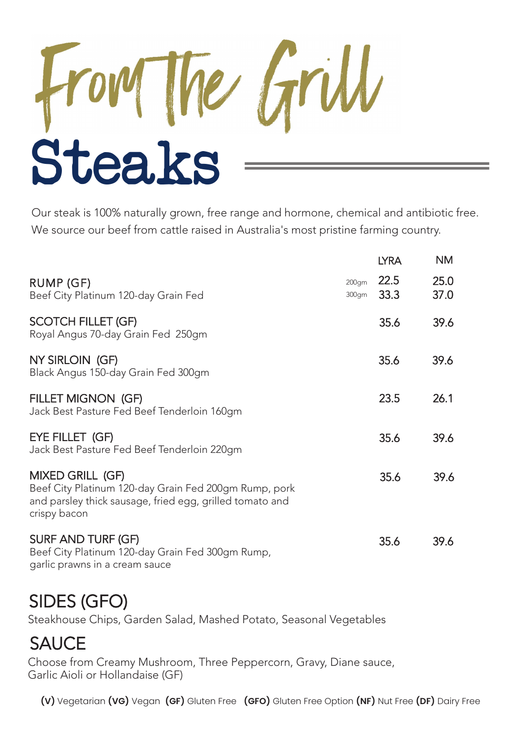

Our steak is 100% naturally grown, free range and hormone, chemical and antibiotic free. We source our beef from cattle raised in Australia's most pristine farming country.

|                                                                                                                                                       |                | <b>LYRA</b>  | <b>NM</b>    |
|-------------------------------------------------------------------------------------------------------------------------------------------------------|----------------|--------------|--------------|
| RUMP (GF)<br>Beef City Platinum 120-day Grain Fed                                                                                                     | 200gm<br>300gm | 22.5<br>33.3 | 25.0<br>37.0 |
| <b>SCOTCH FILLET (GF)</b><br>Royal Angus 70-day Grain Fed 250gm                                                                                       |                | 35.6         | 39.6         |
| NY SIRLOIN (GF)<br>Black Angus 150-day Grain Fed 300gm                                                                                                |                | 35.6         | 39.6         |
| FILLET MIGNON (GF)<br>Jack Best Pasture Fed Beef Tenderloin 160gm                                                                                     |                | 23.5         | 26.1         |
| EYE FILLET (GF)<br>Jack Best Pasture Fed Beef Tenderloin 220gm                                                                                        |                | 35.6         | 39.6         |
| MIXED GRILL (GF)<br>Beef City Platinum 120-day Grain Fed 200gm Rump, pork<br>and parsley thick sausage, fried egg, grilled tomato and<br>crispy bacon |                | 35.6         | 39.6         |
| <b>SURF AND TURF (GF)</b><br>Beef City Platinum 120-day Grain Fed 300gm Rump,<br>garlic prawns in a cream sauce                                       |                | 35.6         | 39.6         |

## SIDES (GFO)

Steakhouse Chips, Garden Salad, Mashed Potato, Seasonal Vegetables

# **SAUCE**

Choose from Creamy Mushroom, Three Peppercorn, Gravy, Diane sauce, Garlic Aioli or Hollandaise (GF)

**(V)** Vegetarian **(VG)** Vegan **(GF)** Gluten Free **(GFO)** Gluten Free Option **(NF)** Nut Free **(DF)** Dairy Free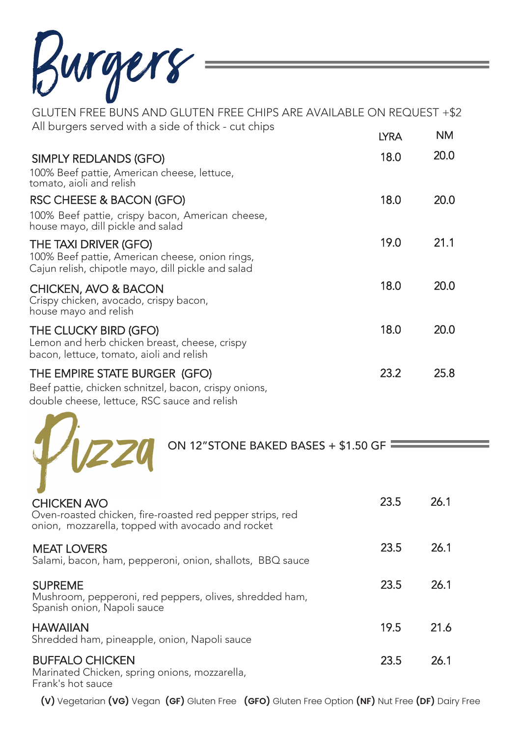Burgers

GLUTEN FREE BUNS AND GLUTEN FREE CHIPS ARE AVAILABLE ON REQUEST +\$2 All burgers served with a side of thick - cut chips NM **LYRA** 18.0 20.0 SIMPLY REDLANDS (GFO) 100% Beef pattie, American cheese, lettuce, tomato, aioli and relish RSC CHEESE & BACON (GFO) 18.0 20.0 100% Beef pattie, crispy bacon, American cheese, house mayo, dill pickle and salad 19.0 21.1 THE TAXI DRIVER (GFO) 100% Beef pattie, American cheese, onion rings, Cajun relish, chipotle mayo, dill pickle and salad 18.0 20.0 CHICKEN, AVO & BACON Crispy chicken, avocado, crispy bacon, house mayo and relish 18.0 20.0 THE CLUCKY BIRD (GFO) Lemon and herb chicken breast, cheese, crispy bacon, lettuce, tomato, aioli and relish 23.2 25.8 THE EMPIRE STATE BURGER (GFO) Beef pattie, chicken schnitzel, bacon, crispy onions, double cheese, lettuce, RSC sauce and relish ON 12"STONE BAKED BASES + \$1.50 GF 23.5 26.1 CHICKEN AVO Oven-roasted chicken, fire-roasted red pepper strips, red onion, mozzarella, topped with avocado and rocket 23.5 26.1 MEAT LOVERS Salami, bacon, ham, pepperoni, onion, shallots, BBQ sauce 23.5 26.1 SUPREME Mushroom, pepperoni, red peppers, olives, shredded ham, Spanish onion, Napoli sauce 19.5 21.6 **HAWAIIAN** Shredded ham, pineapple, onion, Napoli sauce 23.5 26.1 BUFFALO CHICKEN Marinated Chicken, spring onions, mozzarella, Frank's hot sauce

**(V)** Vegetarian **(VG)** Vegan **(GF)** Gluten Free **(GFO)** Gluten Free Option **(NF)** Nut Free **(DF)** Dairy Free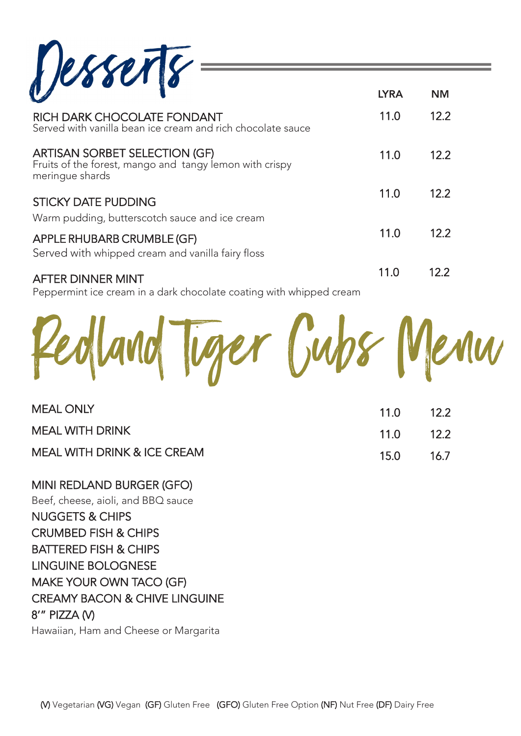Desserts

| RICH DARK CHOCOLATE FONDANT<br>Served with vanilla bean ice cream and rich chocolate sauce                         | 11.0 | 12.2 |
|--------------------------------------------------------------------------------------------------------------------|------|------|
| <b>ARTISAN SORBET SELECTION (GF)</b><br>Fruits of the forest, mango and tangy lemon with crispy<br>meringue shards | 11.0 | 12.2 |
| <b>STICKY DATE PUDDING</b><br>Warm pudding, butterscotch sauce and ice cream                                       | 11.0 | 12.2 |
| APPLE RHUBARB CRUMBLE (GF)<br>Served with whipped cream and vanilla fairy floss                                    | 11.0 | 12.2 |
| <b>AFTER DINNER MINT</b>                                                                                           | 11.0 | 12.2 |

LYRA NM

Peppermint ice cream in a dark chocolate coating with whipped cream



| <b>MEAL ONLY</b>            | $11.0$ 12.2   |  |
|-----------------------------|---------------|--|
| MEAL WITH DRINK             | $11.0$ $12.2$ |  |
| MEAL WITH DRINK & ICE CREAM | 15.0 16.7     |  |

MINI REDLAND BURGER (GFO) Beef, cheese, aioli, and BBQ sauce NUGGETS & CHIPS CRUMBED FISH & CHIPS BATTERED FISH & CHIPS LINGUINE BOLOGNESE MAKE YOUR OWN TACO (GF) CREAMY BACON & CHIVE LINGUINE 8'" PIZZA (V)

Hawaiian, Ham and Cheese or Margarita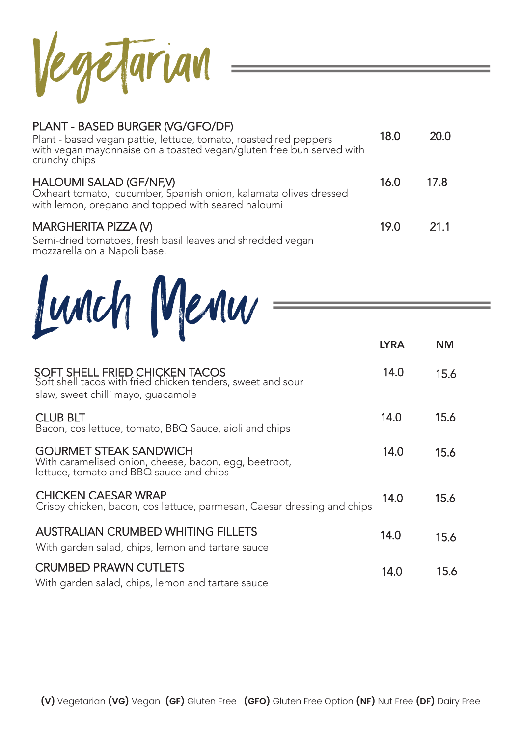Vegetarian

## PLANT - BASED BURGER (VG/GFO/DF)

| Plant - based vegan pattie, lettuce, tomato, roasted red peppers<br>with vegan mayonnaise on a toasted vegan/gluten free bun served with<br>crunchy chips | 18.0 | 20.0 |
|-----------------------------------------------------------------------------------------------------------------------------------------------------------|------|------|
| <b>HALOUMI SALAD (GF/NF,V)</b><br>Oxheart tomato, cucumber, Spanish onion, kalamata olives dressed<br>with lemon, oregano and topped with seared haloumi  | 16.0 | 17.8 |
| MARGHERITA PIZZA (V)<br>Semi-dried tomatoes, fresh basil leaves and shredded vegan<br>mozzarella on a Napoli base.                                        | 19.0 | 21.1 |

# Lunch Menu

|                                                                                                                                     | <b>LYRA</b> | <b>NM</b> |
|-------------------------------------------------------------------------------------------------------------------------------------|-------------|-----------|
| SOFT SHELL FRIED CHICKEN TACOS<br>Soft shell tacos with fried chicken tenders, sweet and sour<br>slaw, sweet chilli mayo, guacamole | 14.0        | 15.6      |
| <b>CLUB BLT</b><br>Bacon, cos lettuce, tomato, BBQ Sauce, aioli and chips                                                           | 14.0        | 15.6      |
| <b>GOURMET STEAK SANDWICH</b><br>With caramelised onion, cheese, bacon, egg, beetroot,<br>lettuce, tomato and BBQ sauce and chips   | 14.0        | 15.6      |
| <b>CHICKEN CAESAR WRAP</b><br>Crispy chicken, bacon, cos lettuce, parmesan, Caesar dressing and chips                               | 14.0        | 15.6      |
| <b>AUSTRALIAN CRUMBED WHITING FILLETS</b><br>With garden salad, chips, lemon and tartare sauce                                      | 14.0        | 15.6      |
| <b>CRUMBED PRAWN CUTLETS</b><br>With garden salad, chips, lemon and tartare sauce                                                   | 14.0        | 15.6      |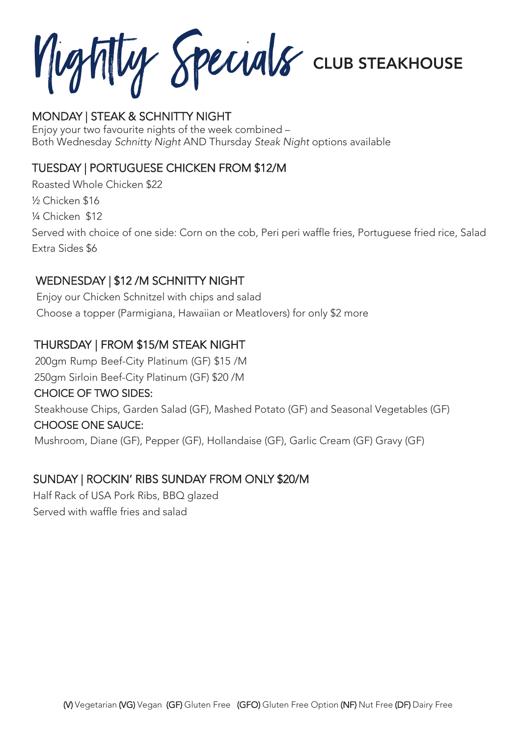Nightly Specials **CLUB STEAKHOUS** 

#### MONDAY | STEAK & SCHNITTY NIGHT

Enjoy your two favourite nights of the week combined – Both Wednesday Schnitty Night AND Thursday Steak Night options available

### TUESDAY | PORTUGUESE CHICKEN FROM \$12/M

Roasted Whole Chicken \$22 ½ Chicken \$16 ¼ Chicken \$12 Served with choice of one side: Corn on the cob, Peri peri waffle fries, Portuguese fried rice, Salad Extra Sides \$6

### WEDNESDAY | \$12 /M SCHNITTY NIGHT

Enjoy our Chicken Schnitzel with chips and salad Choose a topper (Parmigiana, Hawaiian or Meatlovers) for only \$2 more

#### THURSDAY | FROM \$15/M STEAK NIGHT

200gm Rump Beef-City Platinum (GF) \$15 /M 250gm Sirloin Beef-City Platinum (GF) \$20 /M

#### CHOICE OF TWO SIDES:

Steakhouse Chips, Garden Salad (GF), Mashed Potato (GF) and Seasonal Vegetables (GF)

#### CHOOSE ONE SAUCE:

Mushroom, Diane (GF), Pepper (GF), Hollandaise (GF), Garlic Cream (GF) Gravy (GF)

#### SUNDAY | ROCKIN' RIBS SUNDAY FROM ONLY \$20/M

Half Rack of USA Pork Ribs, BBQ glazed Served with waffle fries and salad